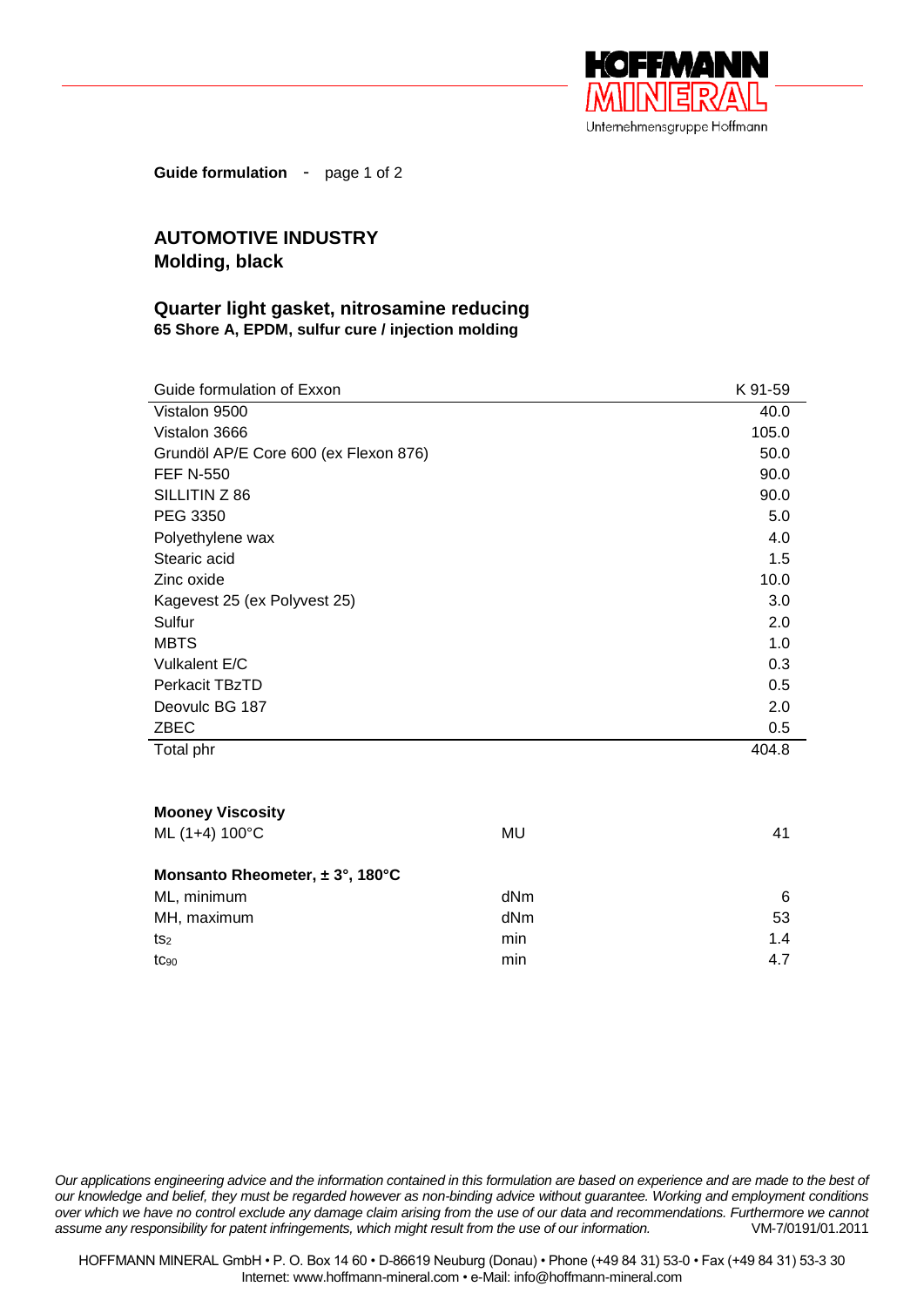

**Guide formulation** - page 1 of 2

## **AUTOMOTIVE INDUSTRY Molding, black**

## **Quarter light gasket, nitrosamine reducing 65 Shore A, EPDM, sulfur cure / injection molding**

| Guide formulation of Exxon            | K 91-59  |
|---------------------------------------|----------|
| Vistalon 9500                         | 40.0     |
| Vistalon 3666                         | 105.0    |
| Grundöl AP/E Core 600 (ex Flexon 876) | 50.0     |
| <b>FEF N-550</b>                      | 90.0     |
| SILLITIN Z 86                         | 90.0     |
| PEG 3350                              | 5.0      |
| Polyethylene wax                      | 4.0      |
| Stearic acid                          | 1.5      |
| Zinc oxide                            | 10.0     |
| Kagevest 25 (ex Polyvest 25)          | 3.0      |
| Sulfur                                | 2.0      |
| <b>MBTS</b>                           | 1.0      |
| Vulkalent E/C                         | 0.3      |
| Perkacit TBzTD                        | 0.5      |
| Deovulc BG 187                        | 2.0      |
| ZBEC                                  | 0.5      |
| Total phr                             | 404.8    |
|                                       |          |
| <b>Mooney Viscosity</b>               |          |
| ML (1+4) 100°C                        | MU<br>41 |

| Monsanto Rheometer, $\pm 3^{\circ}$ , 180 $^{\circ}$ C |     |     |
|--------------------------------------------------------|-----|-----|
| ML, minimum                                            | dNm | 6   |
| MH, maximum                                            | dNm | 53  |
| ts <sub>2</sub>                                        | min | 1.4 |
| $tc_{90}$                                              | min | 4.7 |
|                                                        |     |     |

*Our applications engineering advice and the information contained in this formulation are based on experience and are made to the best of our knowledge and belief, they must be regarded however as non-binding advice without guarantee. Working and employment conditions over which we have no control exclude any damage claim arising from the use of our data and recommendations. Furthermore we cannot assume any responsibility for patent infringements, which might result from the use of our information.* VM-7/0191/01.2011